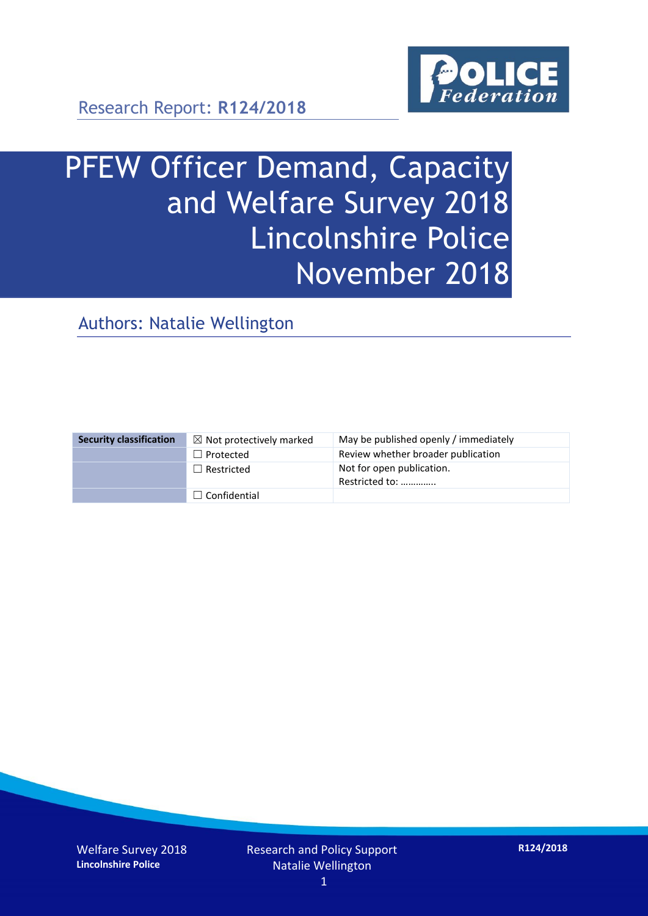

Research Report: **R124/2018**

# PFEW Officer Demand, Capacity and Welfare Survey 2018 Lincolnshire Police November 2018

Authors: Natalie Wellington

| <b>Security classification</b> | $\boxtimes$ Not protectively marked | May be published openly / immediately       |
|--------------------------------|-------------------------------------|---------------------------------------------|
|                                | $\Box$ Protected                    | Review whether broader publication          |
|                                | $\Box$ Restricted                   | Not for open publication.<br>Restricted to: |
|                                | $\Box$ Confidential                 |                                             |

Welfare Survey 2018 **Lincolnshire Police**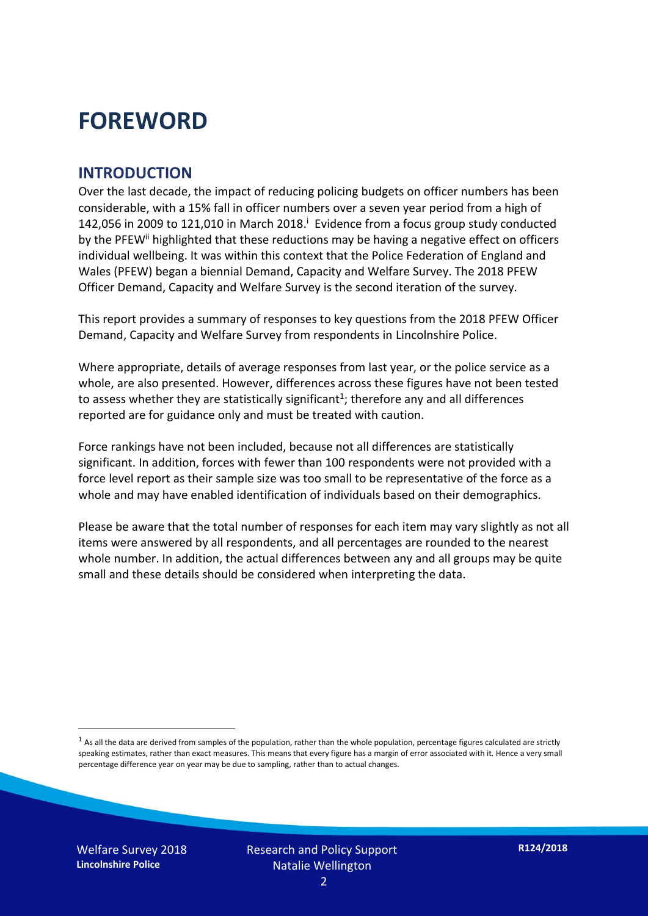### **FOREWORD**

#### **INTRODUCTION**

Over the last decade, the impact of reducing policing budgets on officer numbers has been considerable, with a 15% fall in officer numbers over a seven year period from a high of 142,056 in 2009 to 121,010 in March 2018. $^{\mathrm{i}}$  Evidence from a focus group study conducted by the PFEW<sup>ii</sup> highlighted that these reductions may be having a negative effect on officers individual wellbeing. It was within this context that the Police Federation of England and Wales (PFEW) began a biennial Demand, Capacity and Welfare Survey. The 2018 PFEW Officer Demand, Capacity and Welfare Survey is the second iteration of the survey.

This report provides a summary of responses to key questions from the 2018 PFEW Officer Demand, Capacity and Welfare Survey from respondents in Lincolnshire Police.

Where appropriate, details of average responses from last year, or the police service as a whole, are also presented. However, differences across these figures have not been tested to assess whether they are statistically significant<sup>1</sup>; therefore any and all differences reported are for guidance only and must be treated with caution.

Force rankings have not been included, because not all differences are statistically significant. In addition, forces with fewer than 100 respondents were not provided with a force level report as their sample size was too small to be representative of the force as a whole and may have enabled identification of individuals based on their demographics.

Please be aware that the total number of responses for each item may vary slightly as not all items were answered by all respondents, and all percentages are rounded to the nearest whole number. In addition, the actual differences between any and all groups may be quite small and these details should be considered when interpreting the data.

Welfare Survey 2018 **Lincolnshire Police**

-

 $<sup>1</sup>$  As all the data are derived from samples of the population, rather than the whole population, percentage figures calculated are strictly</sup> speaking estimates, rather than exact measures. This means that every figure has a margin of error associated with it. Hence a very small percentage difference year on year may be due to sampling, rather than to actual changes.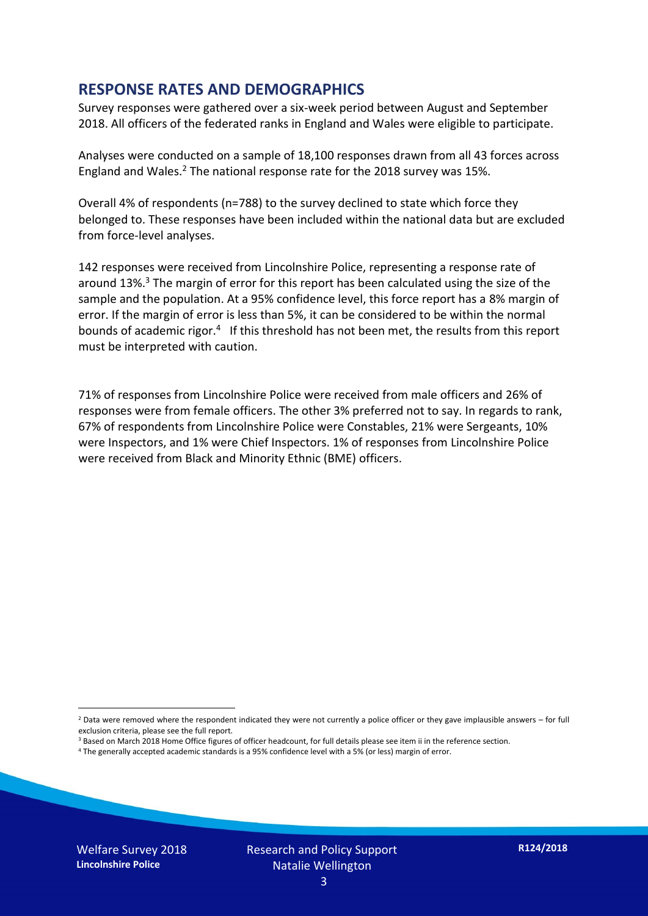#### **RESPONSE RATES AND DEMOGRAPHICS**

Survey responses were gathered over a six-week period between August and September 2018. All officers of the federated ranks in England and Wales were eligible to participate.

Analyses were conducted on a sample of 18,100 responses drawn from all 43 forces across England and Wales.<sup>2</sup> The national response rate for the 2018 survey was 15%.

Overall 4% of respondents (n=788) to the survey declined to state which force they belonged to. These responses have been included within the national data but are excluded from force-level analyses.

142 responses were received from Lincolnshire Police, representing a response rate of around 13%. <sup>3</sup> The margin of error for this report has been calculated using the size of the sample and the population. At a 95% confidence level, this force report has a 8% margin of error. If the margin of error is less than 5%, it can be considered to be within the normal bounds of academic rigor.<sup>4</sup> If this threshold has not been met, the results from this report must be interpreted with caution.

71% of responses from Lincolnshire Police were received from male officers and 26% of responses were from female officers. The other 3% preferred not to say. In regards to rank, 67% of respondents from Lincolnshire Police were Constables, 21% were Sergeants, 10% were Inspectors, and 1% were Chief Inspectors. 1% of responses from Lincolnshire Police were received from Black and Minority Ethnic (BME) officers.

-

 $2$  Data were removed where the respondent indicated they were not currently a police officer or they gave implausible answers – for full exclusion criteria, please see the full report.

<sup>3</sup> Based on March 2018 Home Office figures of officer headcount, for full details please see item ii in the reference section.

<sup>4</sup> The generally accepted academic standards is a 95% confidence level with a 5% (or less) margin of error.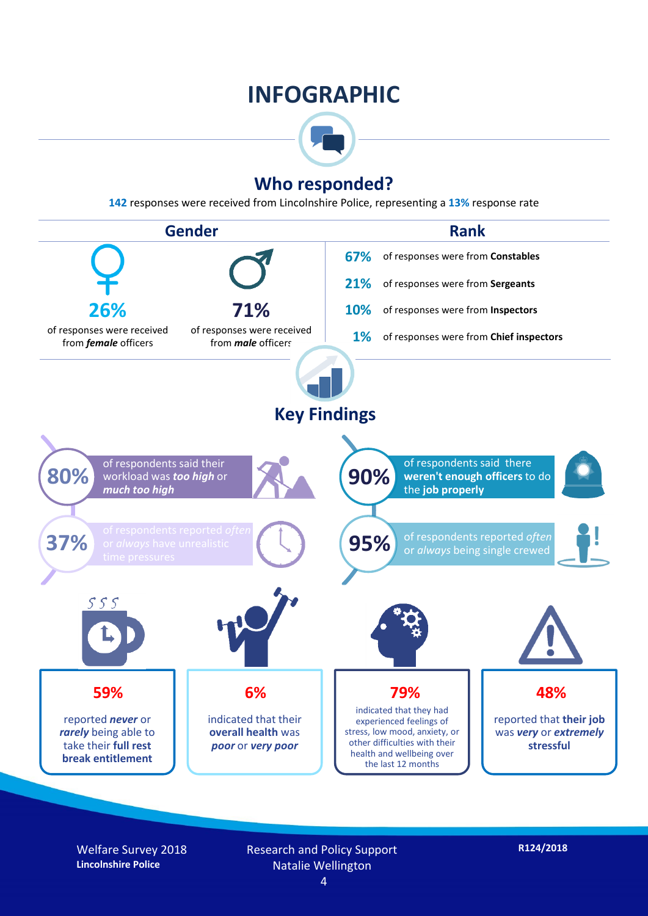### **INFOGRAPHIC**



#### **Who responded?**

**142** responses were received from Lincolnshire Police, representing a **13%** response rate



Welfare Survey 2018 **Lincolnshire Police**

Research and Policy Support Natalie Wellington

**R124/2018**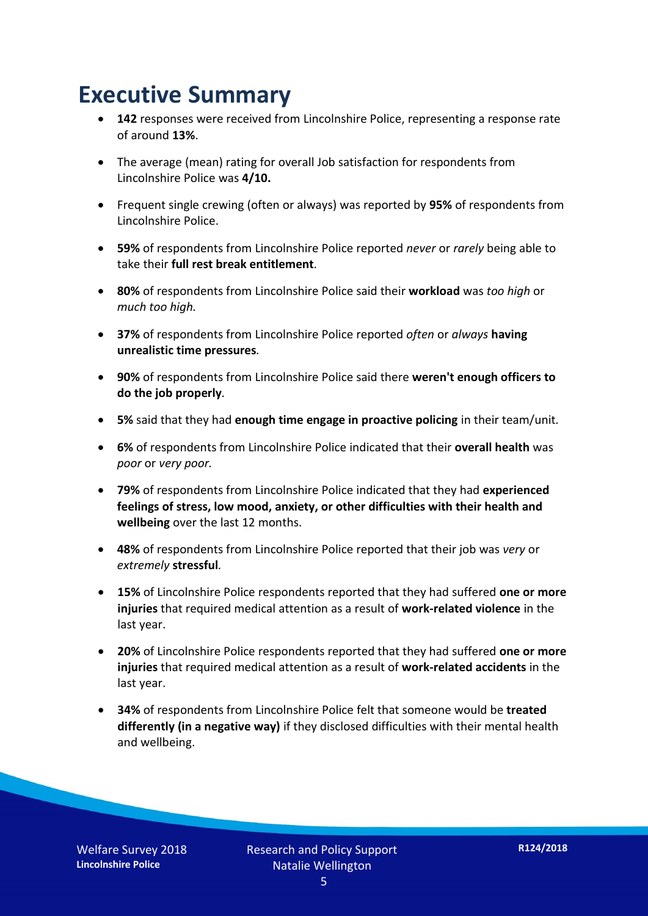### **Executive Summary**

- **142** responses were received from Lincolnshire Police, representing a response rate of around **13%**.
- The average (mean) rating for overall Job satisfaction for respondents from Lincolnshire Police was **4/10.**
- Frequent single crewing (often or always) was reported by **95%** of respondents from Lincolnshire Police.
- **59%** of respondents from Lincolnshire Police reported *never* or *rarely* being able to take their **full rest break entitlement***.*
- **80%** of respondents from Lincolnshire Police said their **workload** was *too high* or *much too high.*
- **37%** of respondents from Lincolnshire Police reported *often* or *always* **having unrealistic time pressures***.*
- **90%** of respondents from Lincolnshire Police said there **weren't enough officers to do the job properly***.*
- **5%** said that they had **enough time engage in proactive policing** in their team/unit*.*
- **6%** of respondents from Lincolnshire Police indicated that their **overall health** was *poor* or *very poor.*
- **79%** of respondents from Lincolnshire Police indicated that they had **experienced feelings of stress, low mood, anxiety, or other difficulties with their health and wellbeing** over the last 12 months.
- **48%** of respondents from Lincolnshire Police reported that their job was *very* or *extremely* **stressful***.*
- **15%** of Lincolnshire Police respondents reported that they had suffered **one or more injuries** that required medical attention as a result of **work-related violence** in the last year.
- **20%** of Lincolnshire Police respondents reported that they had suffered **one or more injuries** that required medical attention as a result of **work-related accidents** in the last year.
- **34%** of respondents from Lincolnshire Police felt that someone would be **treated differently (in a negative way)** if they disclosed difficulties with their mental health and wellbeing.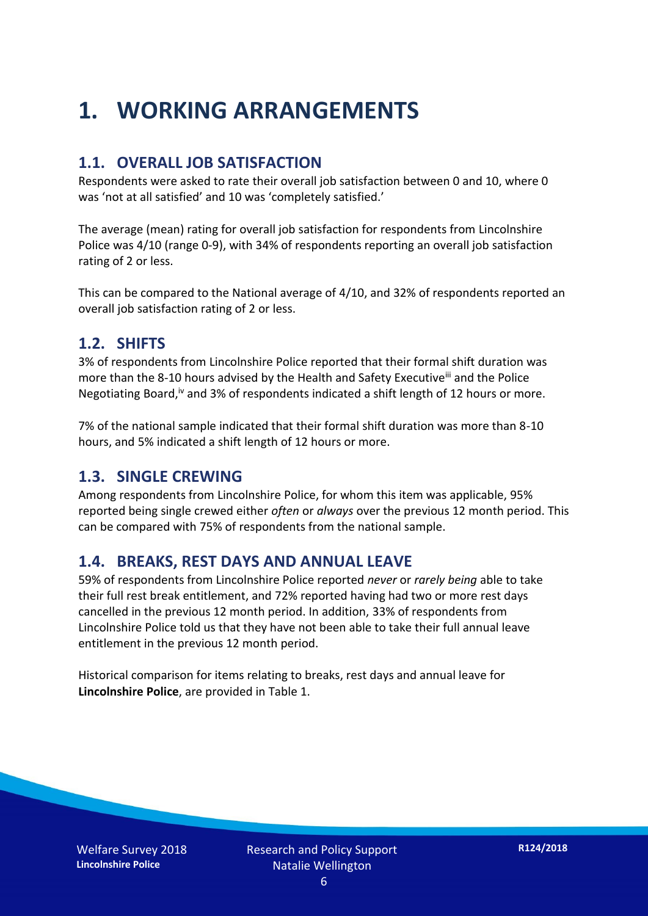## **1. WORKING ARRANGEMENTS**

#### **1.1. OVERALL JOB SATISFACTION**

Respondents were asked to rate their overall job satisfaction between 0 and 10, where 0 was 'not at all satisfied' and 10 was 'completely satisfied.'

The average (mean) rating for overall job satisfaction for respondents from Lincolnshire Police was 4/10 (range 0-9), with 34% of respondents reporting an overall job satisfaction rating of 2 or less.

This can be compared to the National average of 4/10, and 32% of respondents reported an overall job satisfaction rating of 2 or less.

#### **1.2. SHIFTS**

3% of respondents from Lincolnshire Police reported that their formal shift duration was more than the 8-10 hours advised by the Health and Safety Executive<sup>iii</sup> and the Police Negotiating Board,<sup>iv</sup> and 3% of respondents indicated a shift length of 12 hours or more.

7% of the national sample indicated that their formal shift duration was more than 8-10 hours, and 5% indicated a shift length of 12 hours or more.

#### **1.3. SINGLE CREWING**

Among respondents from Lincolnshire Police, for whom this item was applicable, 95% reported being single crewed either *often* or *always* over the previous 12 month period. This can be compared with 75% of respondents from the national sample.

#### **1.4. BREAKS, REST DAYS AND ANNUAL LEAVE**

59% of respondents from Lincolnshire Police reported *never* or *rarely being* able to take their full rest break entitlement, and 72% reported having had two or more rest days cancelled in the previous 12 month period. In addition, 33% of respondents from Lincolnshire Police told us that they have not been able to take their full annual leave entitlement in the previous 12 month period.

Historical comparison for items relating to breaks, rest days and annual leave for **Lincolnshire Police**, are provided in Table 1.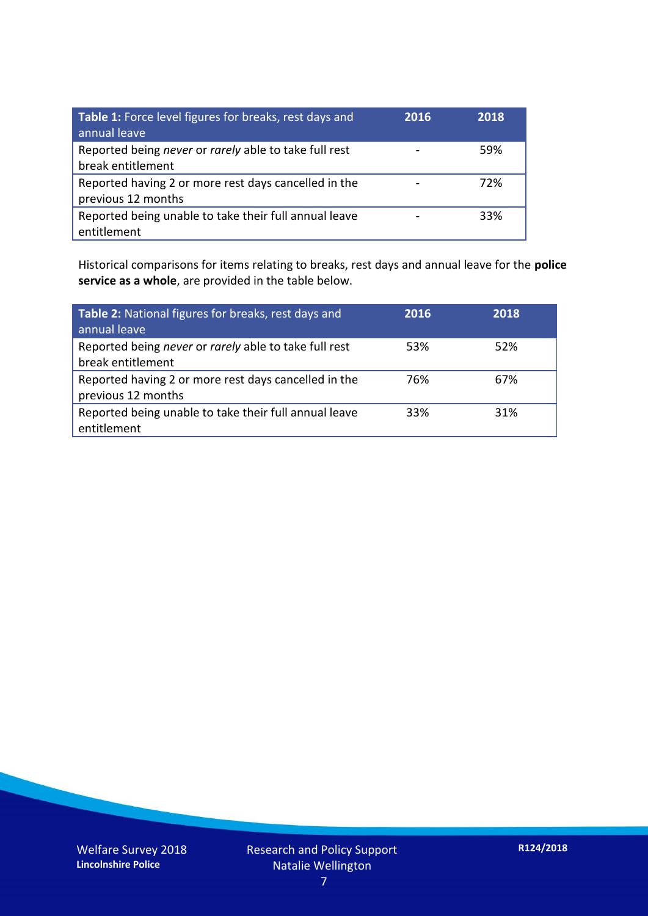| Table 1: Force level figures for breaks, rest days and<br>annual leave     | 2016 | 2018 |
|----------------------------------------------------------------------------|------|------|
| Reported being never or rarely able to take full rest<br>break entitlement |      | 59%  |
| Reported having 2 or more rest days cancelled in the<br>previous 12 months |      | 72%  |
| Reported being unable to take their full annual leave<br>entitlement       |      | 33%  |

Historical comparisons for items relating to breaks, rest days and annual leave for the **police service as a whole**, are provided in the table below.

| Table 2: National figures for breaks, rest days and<br>annual leave        | 2016 | 2018 |
|----------------------------------------------------------------------------|------|------|
| Reported being never or rarely able to take full rest<br>break entitlement | 53%  | 52%  |
| Reported having 2 or more rest days cancelled in the<br>previous 12 months | 76%  | 67%  |
| Reported being unable to take their full annual leave<br>entitlement       | 33%  | 31%  |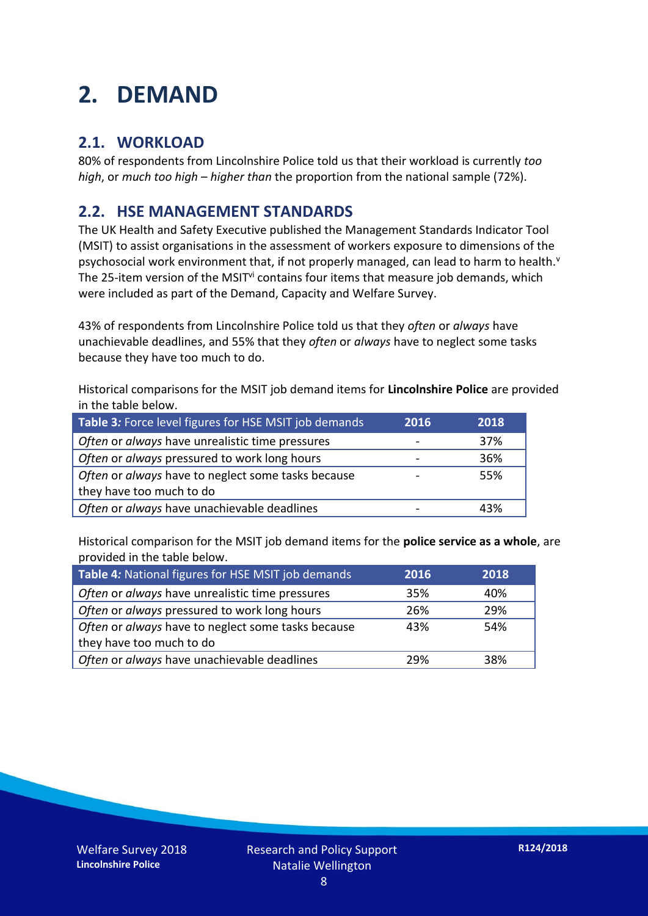## **2. DEMAND**

#### **2.1. WORKLOAD**

80% of respondents from Lincolnshire Police told us that their workload is currently *too high*, or *much too high* – *higher than* the proportion from the national sample (72%).

#### **2.2. HSE MANAGEMENT STANDARDS**

The UK Health and Safety Executive published the Management Standards Indicator Tool (MSIT) to assist organisations in the assessment of workers exposure to dimensions of the psychosocial work environment that, if not properly managed, can lead to harm to health.<sup>v</sup> The 25-item version of the MSIT<sup>vi</sup> contains four items that measure job demands, which were included as part of the Demand, Capacity and Welfare Survey.

43% of respondents from Lincolnshire Police told us that they *often* or *always* have unachievable deadlines, and 55% that they *often* or *always* have to neglect some tasks because they have too much to do.

Historical comparisons for the MSIT job demand items for **Lincolnshire Police** are provided in the table below.

| Table 3: Force level figures for HSE MSIT job demands | 2016 | 2018 |
|-------------------------------------------------------|------|------|
| Often or always have unrealistic time pressures       |      | 37%  |
| Often or always pressured to work long hours          |      | 36%  |
| Often or always have to neglect some tasks because    |      | 55%  |
| they have too much to do                              |      |      |
| Often or always have unachievable deadlines           |      | 43%  |

Historical comparison for the MSIT job demand items for the **police service as a whole**, are provided in the table below.

| Table 4: National figures for HSE MSIT job demands | 2016 | 2018 |
|----------------------------------------------------|------|------|
| Often or always have unrealistic time pressures    | 35%  | 40%  |
| Often or always pressured to work long hours       | 26%  | 29%  |
| Often or always have to neglect some tasks because | 43%  | 54%  |
| they have too much to do                           |      |      |
| Often or always have unachievable deadlines        | 29%  | 38%  |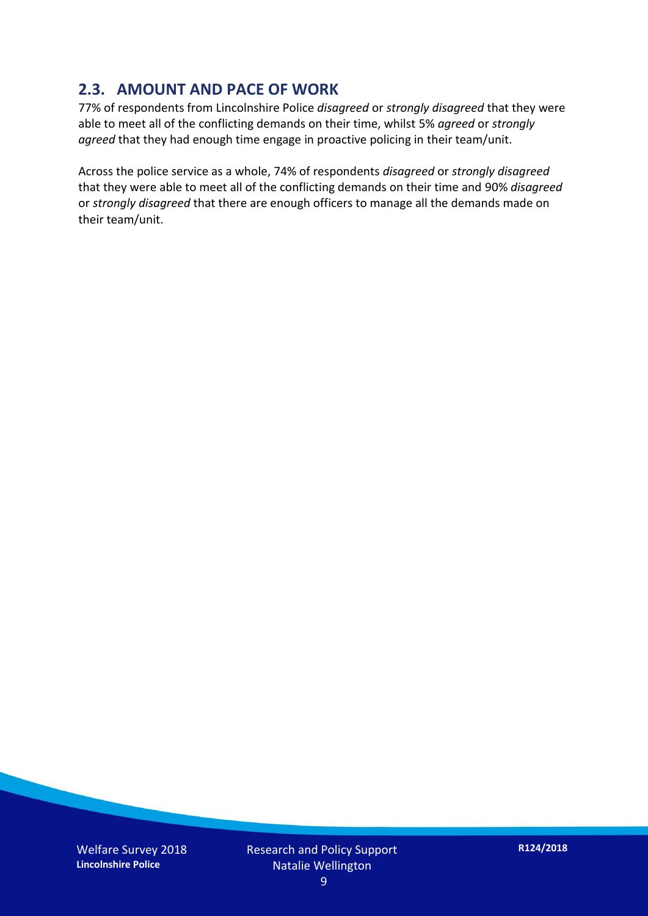#### **2.3. AMOUNT AND PACE OF WORK**

77% of respondents from Lincolnshire Police *disagreed* or *strongly disagreed* that they were able to meet all of the conflicting demands on their time, whilst 5% *agreed* or *strongly agreed* that they had enough time engage in proactive policing in their team/unit.

Across the police service as a whole, 74% of respondents *disagreed* or *strongly disagreed* that they were able to meet all of the conflicting demands on their time and 90% *disagreed* or *strongly disagreed* that there are enough officers to manage all the demands made on their team/unit.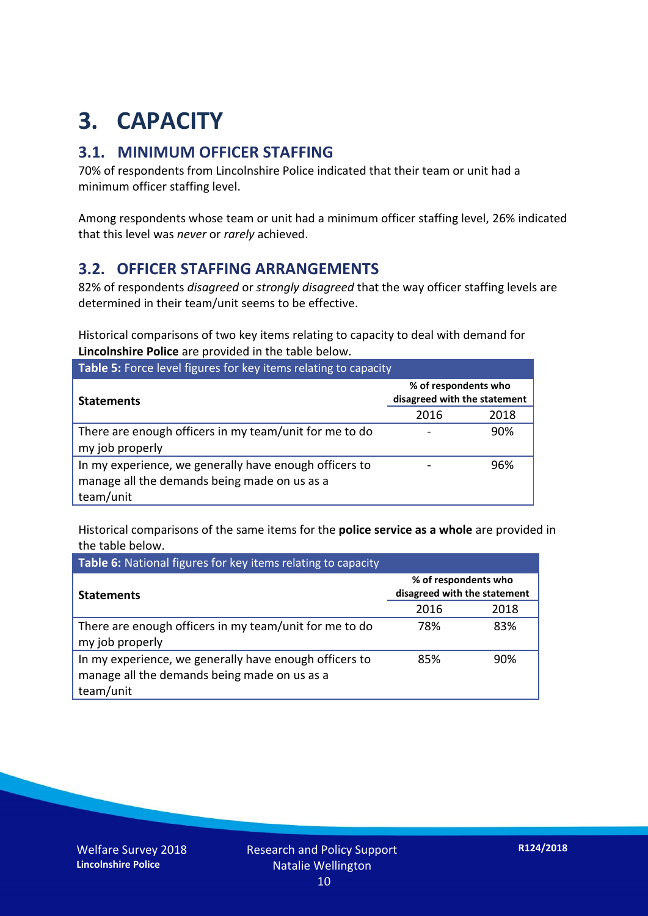## **3. CAPACITY**

#### **3.1. MINIMUM OFFICER STAFFING**

70% of respondents from Lincolnshire Police indicated that their team or unit had a minimum officer staffing level.

Among respondents whose team or unit had a minimum officer staffing level, 26% indicated that this level was *never* or *rarely* achieved.

#### **3.2. OFFICER STAFFING ARRANGEMENTS**

82% of respondents *disagreed* or *strongly disagreed* that the way officer staffing levels are determined in their team/unit seems to be effective.

Historical comparisons of two key items relating to capacity to deal with demand for **Lincolnshire Police** are provided in the table below.

| Table 5: Force level figures for key items relating to capacity                                                     |                                                      |      |  |
|---------------------------------------------------------------------------------------------------------------------|------------------------------------------------------|------|--|
| <b>Statements</b>                                                                                                   | % of respondents who<br>disagreed with the statement |      |  |
|                                                                                                                     | 2016                                                 | 2018 |  |
| There are enough officers in my team/unit for me to do<br>my job properly                                           |                                                      | 90%  |  |
| In my experience, we generally have enough officers to<br>manage all the demands being made on us as a<br>team/unit |                                                      | 96%  |  |

Historical comparisons of the same items for the **police service as a whole** are provided in the table below.

| Table 6: National figures for key items relating to capacity                                                        |                                                      |      |  |  |
|---------------------------------------------------------------------------------------------------------------------|------------------------------------------------------|------|--|--|
| <b>Statements</b>                                                                                                   | % of respondents who<br>disagreed with the statement |      |  |  |
|                                                                                                                     | 2016                                                 | 2018 |  |  |
| There are enough officers in my team/unit for me to do<br>my job properly                                           | 78%                                                  | 83%  |  |  |
| In my experience, we generally have enough officers to<br>manage all the demands being made on us as a<br>team/unit | 85%                                                  | 90%  |  |  |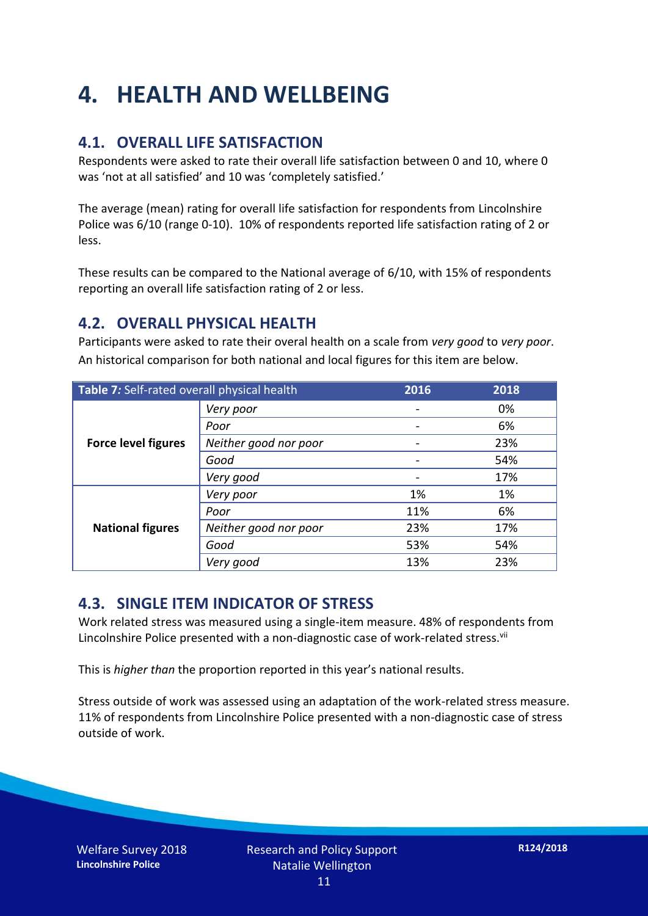## **4. HEALTH AND WELLBEING**

#### **4.1. OVERALL LIFE SATISFACTION**

Respondents were asked to rate their overall life satisfaction between 0 and 10, where 0 was 'not at all satisfied' and 10 was 'completely satisfied.'

The average (mean) rating for overall life satisfaction for respondents from Lincolnshire Police was 6/10 (range 0-10). 10% of respondents reported life satisfaction rating of 2 or less.

These results can be compared to the National average of 6/10, with 15% of respondents reporting an overall life satisfaction rating of 2 or less.

#### **4.2. OVERALL PHYSICAL HEALTH**

Participants were asked to rate their overal health on a scale from *very good* to *very poor*. An historical comparison for both national and local figures for this item are below.

| Table 7: Self-rated overall physical health |                       | 2016 | 2018 |
|---------------------------------------------|-----------------------|------|------|
|                                             | Very poor             |      | 0%   |
|                                             | Poor                  |      | 6%   |
| <b>Force level figures</b>                  | Neither good nor poor |      | 23%  |
|                                             | Good                  |      | 54%  |
|                                             | Very good             |      | 17%  |
| <b>National figures</b>                     | Very poor             | 1%   | 1%   |
|                                             | Poor                  | 11%  | 6%   |
|                                             | Neither good nor poor | 23%  | 17%  |
|                                             | Good                  | 53%  | 54%  |
|                                             | Very good             | 13%  | 23%  |

#### **4.3. SINGLE ITEM INDICATOR OF STRESS**

Work related stress was measured using a single-item measure. 48% of respondents from Lincolnshire Police presented with a non-diagnostic case of work-related stress.<sup>vii</sup>

This is *higher than* the proportion reported in this year's national results.

Stress outside of work was assessed using an adaptation of the work-related stress measure. 11% of respondents from Lincolnshire Police presented with a non-diagnostic case of stress outside of work.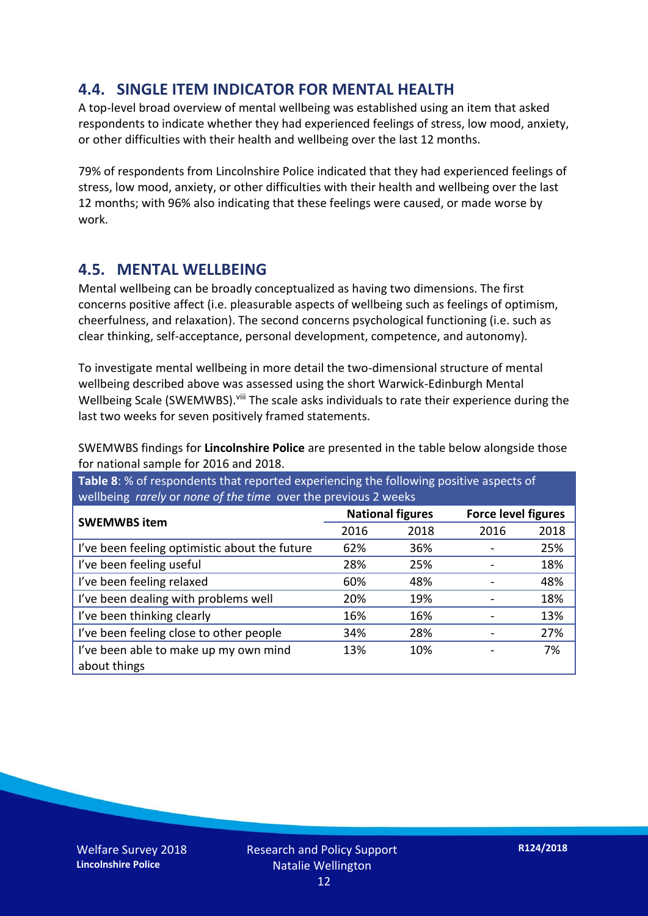#### **4.4. SINGLE ITEM INDICATOR FOR MENTAL HEALTH**

A top-level broad overview of mental wellbeing was established using an item that asked respondents to indicate whether they had experienced feelings of stress, low mood, anxiety, or other difficulties with their health and wellbeing over the last 12 months.

79% of respondents from Lincolnshire Police indicated that they had experienced feelings of stress, low mood, anxiety, or other difficulties with their health and wellbeing over the last 12 months; with 96% also indicating that these feelings were caused, or made worse by work.

#### **4.5. MENTAL WELLBEING**

Mental wellbeing can be broadly conceptualized as having two dimensions. The first concerns positive affect (i.e. pleasurable aspects of wellbeing such as feelings of optimism, cheerfulness, and relaxation). The second concerns psychological functioning (i.e. such as clear thinking, self-acceptance, personal development, competence, and autonomy).

To investigate mental wellbeing in more detail the two-dimensional structure of mental wellbeing described above was assessed using the short Warwick-Edinburgh Mental Wellbeing Scale (SWEMWBS). viii The scale asks individuals to rate their experience during the last two weeks for seven positively framed statements.

SWEMWBS findings for **Lincolnshire Police** are presented in the table below alongside those for national sample for 2016 and 2018.

**Table 8**: % of respondents that reported experiencing the following positive aspects of wellbeing *rarely* or *none of the time* over the previous 2 weeks

| <b>SWEMWBS item</b>                           | <b>National figures</b> |      | <b>Force level figures</b> |      |
|-----------------------------------------------|-------------------------|------|----------------------------|------|
|                                               | 2016                    | 2018 | 2016                       | 2018 |
| I've been feeling optimistic about the future | 62%                     | 36%  |                            | 25%  |
| I've been feeling useful                      | 28%                     | 25%  |                            | 18%  |
| I've been feeling relaxed                     | 60%                     | 48%  |                            | 48%  |
| I've been dealing with problems well          | 20%                     | 19%  |                            | 18%  |
| I've been thinking clearly                    | 16%                     | 16%  |                            | 13%  |
| I've been feeling close to other people       | 34%                     | 28%  |                            | 27%  |
| I've been able to make up my own mind         | 13%                     | 10%  |                            | 7%   |
| about things                                  |                         |      |                            |      |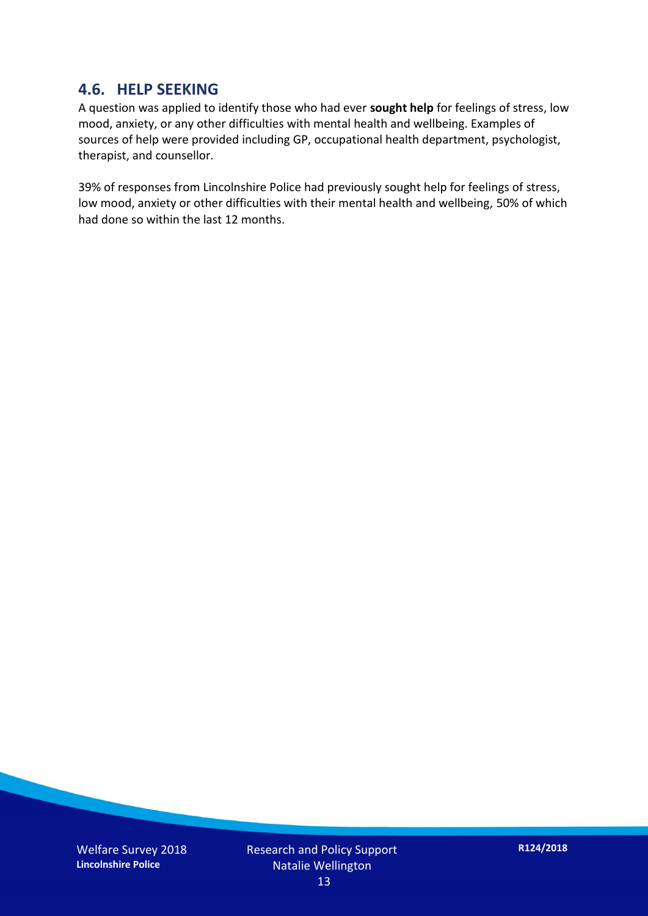#### **4.6. HELP SEEKING**

A question was applied to identify those who had ever **sought help** for feelings of stress, low mood, anxiety, or any other difficulties with mental health and wellbeing. Examples of sources of help were provided including GP, occupational health department, psychologist, therapist, and counsellor.

39% of responses from Lincolnshire Police had previously sought help for feelings of stress, low mood, anxiety or other difficulties with their mental health and wellbeing, 50% of which had done so within the last 12 months.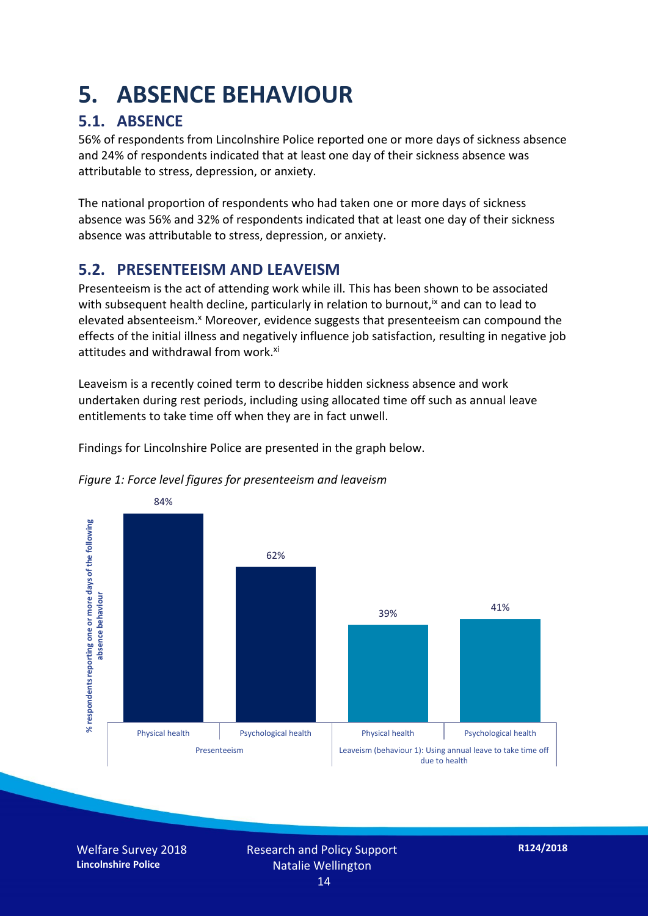### **5. ABSENCE BEHAVIOUR**

#### **5.1. ABSENCE**

56% of respondents from Lincolnshire Police reported one or more days of sickness absence and 24% of respondents indicated that at least one day of their sickness absence was attributable to stress, depression, or anxiety.

The national proportion of respondents who had taken one or more days of sickness absence was 56% and 32% of respondents indicated that at least one day of their sickness absence was attributable to stress, depression, or anxiety.

#### **5.2. PRESENTEEISM AND LEAVEISM**

Presenteeism is the act of attending work while ill. This has been shown to be associated with subsequent health decline, particularly in relation to burnout,  $\alpha$  and can to lead to elevated absenteeism.<sup>x</sup> Moreover, evidence suggests that presenteeism can compound the effects of the initial illness and negatively influence job satisfaction, resulting in negative job attitudes and withdrawal from work.<sup>xi</sup>

Leaveism is a recently coined term to describe hidden sickness absence and work undertaken during rest periods, including using allocated time off such as annual leave entitlements to take time off when they are in fact unwell.

Findings for Lincolnshire Police are presented in the graph below.





Welfare Survey 2018 **Lincolnshire Police**

Research and Policy Support Natalie Wellington 14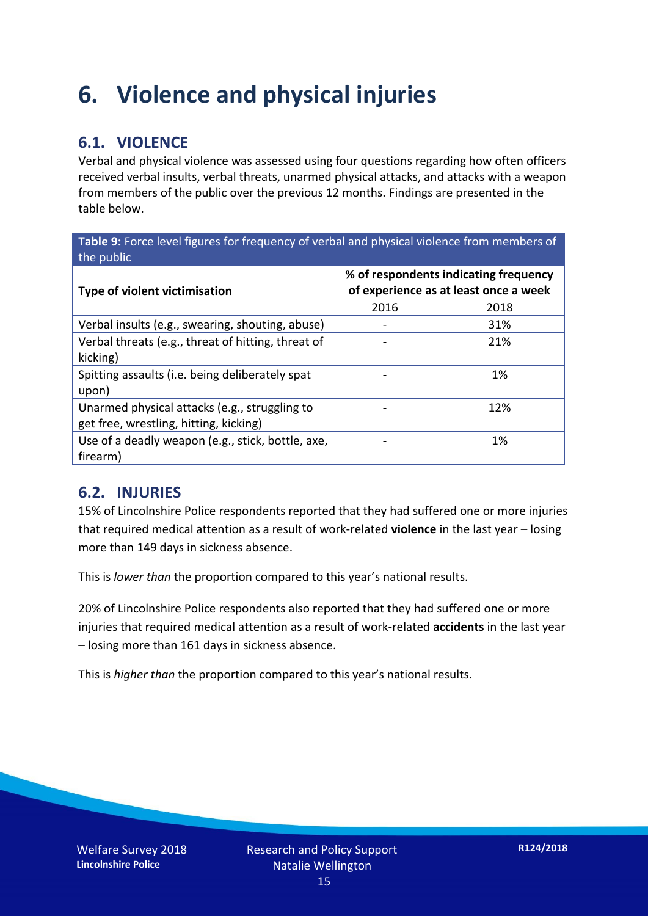### **6. Violence and physical injuries**

#### **6.1. VIOLENCE**

Verbal and physical violence was assessed using four questions regarding how often officers received verbal insults, verbal threats, unarmed physical attacks, and attacks with a weapon from members of the public over the previous 12 months. Findings are presented in the table below.

**Table 9:** Force level figures for frequency of verbal and physical violence from members of the public

| Type of violent victimisation                                                           | % of respondents indicating frequency<br>of experience as at least once a week |      |
|-----------------------------------------------------------------------------------------|--------------------------------------------------------------------------------|------|
|                                                                                         | 2016                                                                           | 2018 |
| Verbal insults (e.g., swearing, shouting, abuse)                                        |                                                                                | 31%  |
| Verbal threats (e.g., threat of hitting, threat of<br>kicking)                          |                                                                                | 21%  |
| Spitting assaults (i.e. being deliberately spat<br>upon)                                |                                                                                | 1%   |
| Unarmed physical attacks (e.g., struggling to<br>get free, wrestling, hitting, kicking) |                                                                                | 12%  |
| Use of a deadly weapon (e.g., stick, bottle, axe,<br>firearm)                           |                                                                                | 1%   |

#### **6.2. INJURIES**

15% of Lincolnshire Police respondents reported that they had suffered one or more injuries that required medical attention as a result of work-related **violence** in the last year – losing more than 149 days in sickness absence.

This is *lower than* the proportion compared to this year's national results.

20% of Lincolnshire Police respondents also reported that they had suffered one or more injuries that required medical attention as a result of work-related **accidents** in the last year – losing more than 161 days in sickness absence.

This is *higher than* the proportion compared to this year's national results.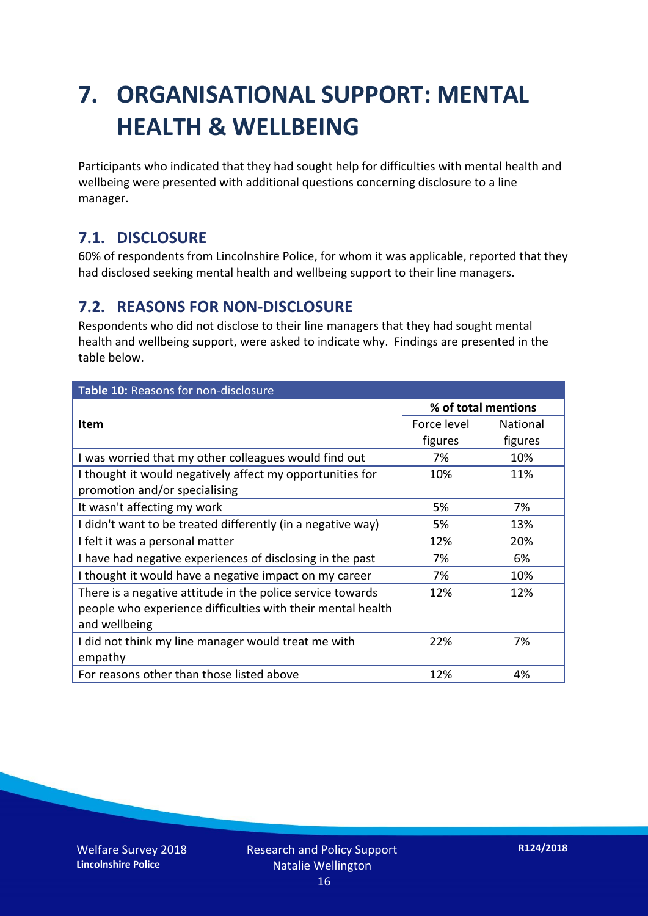## **7. ORGANISATIONAL SUPPORT: MENTAL HEALTH & WELLBEING**

Participants who indicated that they had sought help for difficulties with mental health and wellbeing were presented with additional questions concerning disclosure to a line manager.

#### **7.1. DISCLOSURE**

60% of respondents from Lincolnshire Police, for whom it was applicable, reported that they had disclosed seeking mental health and wellbeing support to their line managers.

#### **7.2. REASONS FOR NON-DISCLOSURE**

Respondents who did not disclose to their line managers that they had sought mental health and wellbeing support, were asked to indicate why. Findings are presented in the table below.

| Table 10: Reasons for non-disclosure                        |                     |          |  |
|-------------------------------------------------------------|---------------------|----------|--|
|                                                             | % of total mentions |          |  |
| <b>Item</b>                                                 | Force level         | National |  |
|                                                             | figures             | figures  |  |
| I was worried that my other colleagues would find out       | 7%                  | 10%      |  |
| I thought it would negatively affect my opportunities for   | 10%                 | 11%      |  |
| promotion and/or specialising                               |                     |          |  |
| It wasn't affecting my work                                 | 5%                  | 7%       |  |
| I didn't want to be treated differently (in a negative way) | 5%                  | 13%      |  |
| I felt it was a personal matter                             | 12%                 | 20%      |  |
| I have had negative experiences of disclosing in the past   | 7%                  | 6%       |  |
| I thought it would have a negative impact on my career      | 7%                  | 10%      |  |
| There is a negative attitude in the police service towards  | 12%                 | 12%      |  |
| people who experience difficulties with their mental health |                     |          |  |
| and wellbeing                                               |                     |          |  |
| I did not think my line manager would treat me with         | 22%                 | 7%       |  |
| empathy                                                     |                     |          |  |
| For reasons other than those listed above                   | 12%                 | 4%       |  |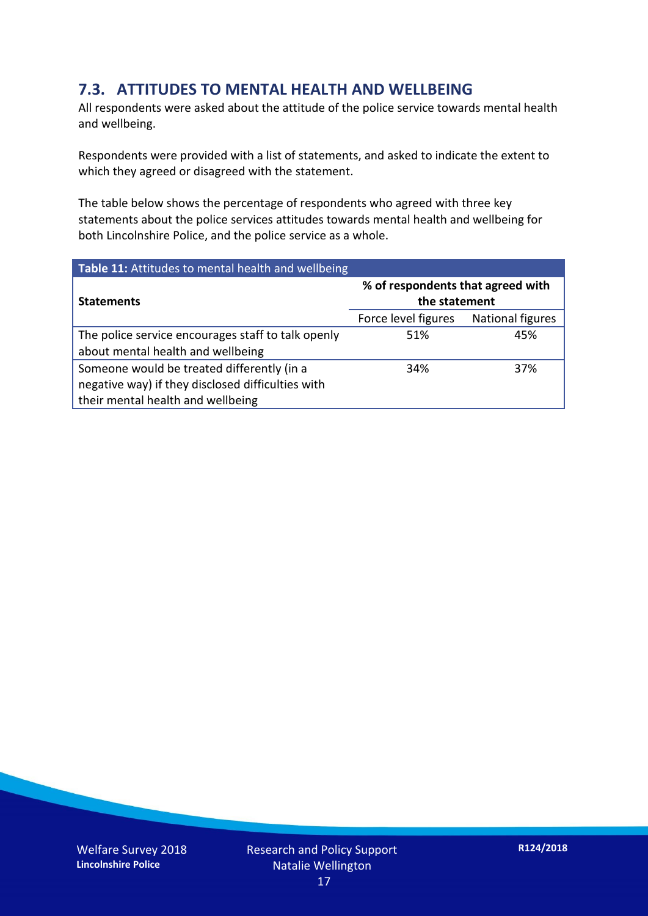#### **7.3. ATTITUDES TO MENTAL HEALTH AND WELLBEING**

All respondents were asked about the attitude of the police service towards mental health and wellbeing.

Respondents were provided with a list of statements, and asked to indicate the extent to which they agreed or disagreed with the statement.

The table below shows the percentage of respondents who agreed with three key statements about the police services attitudes towards mental health and wellbeing for both Lincolnshire Police, and the police service as a whole.

| Table 11: Attitudes to mental health and wellbeing |                                                    |                  |
|----------------------------------------------------|----------------------------------------------------|------------------|
| <b>Statements</b>                                  | % of respondents that agreed with<br>the statement |                  |
|                                                    | Force level figures                                | National figures |
| The police service encourages staff to talk openly | 51%                                                | 45%              |
| about mental health and wellbeing                  |                                                    |                  |
| Someone would be treated differently (in a         | 34%                                                | 37%              |
| negative way) if they disclosed difficulties with  |                                                    |                  |
| their mental health and wellbeing                  |                                                    |                  |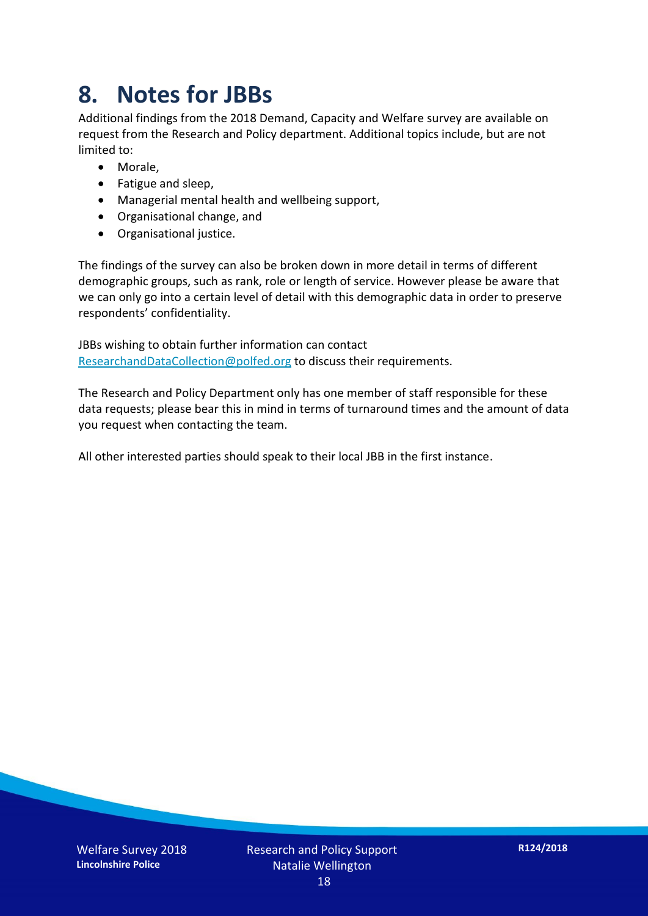### **8. Notes for JBBs**

Additional findings from the 2018 Demand, Capacity and Welfare survey are available on request from the Research and Policy department. Additional topics include, but are not limited to:

- Morale,
- Fatigue and sleep,
- Managerial mental health and wellbeing support,
- Organisational change, and
- Organisational justice.

The findings of the survey can also be broken down in more detail in terms of different demographic groups, such as rank, role or length of service. However please be aware that we can only go into a certain level of detail with this demographic data in order to preserve respondents' confidentiality.

JBBs wishing to obtain further information can contact [ResearchandDataCollection@polfed.org](mailto:ResearchandDataCollection@polfed.org) to discuss their requirements.

The Research and Policy Department only has one member of staff responsible for these data requests; please bear this in mind in terms of turnaround times and the amount of data you request when contacting the team.

All other interested parties should speak to their local JBB in the first instance.